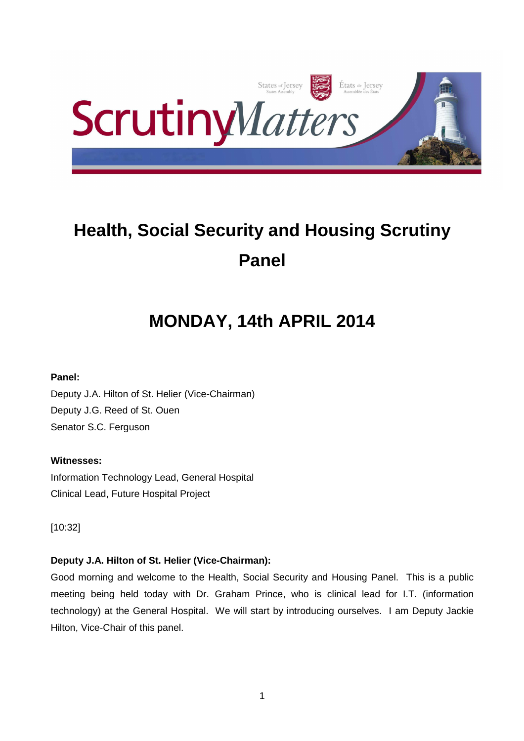

# **Health, Social Security and Housing Scrutiny Panel**

# **MONDAY, 14th APRIL 2014**

# **Panel:**

Deputy J.A. Hilton of St. Helier (Vice-Chairman) Deputy J.G. Reed of St. Ouen Senator S.C. Ferguson

# **Witnesses:**

Information Technology Lead, General Hospital Clinical Lead, Future Hospital Project

[10:32]

# **Deputy J.A. Hilton of St. Helier (Vice-Chairman):**

Good morning and welcome to the Health, Social Security and Housing Panel. This is a public meeting being held today with Dr. Graham Prince, who is clinical lead for I.T. (information technology) at the General Hospital. We will start by introducing ourselves. I am Deputy Jackie Hilton, Vice-Chair of this panel.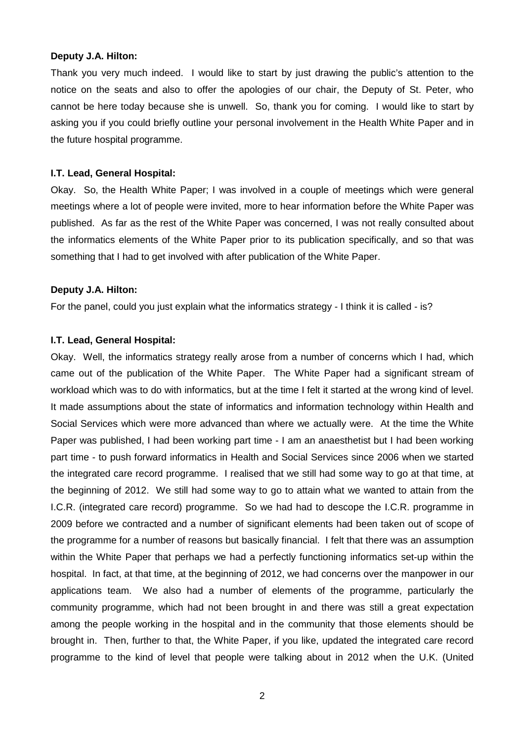#### **Deputy J.A. Hilton:**

Thank you very much indeed. I would like to start by just drawing the public's attention to the notice on the seats and also to offer the apologies of our chair, the Deputy of St. Peter, who cannot be here today because she is unwell. So, thank you for coming. I would like to start by asking you if you could briefly outline your personal involvement in the Health White Paper and in the future hospital programme.

#### **I.T. Lead, General Hospital:**

Okay. So, the Health White Paper; I was involved in a couple of meetings which were general meetings where a lot of people were invited, more to hear information before the White Paper was published. As far as the rest of the White Paper was concerned, I was not really consulted about the informatics elements of the White Paper prior to its publication specifically, and so that was something that I had to get involved with after publication of the White Paper.

#### **Deputy J.A. Hilton:**

For the panel, could you just explain what the informatics strategy - I think it is called - is?

#### **I.T. Lead, General Hospital:**

Okay. Well, the informatics strategy really arose from a number of concerns which I had, which came out of the publication of the White Paper. The White Paper had a significant stream of workload which was to do with informatics, but at the time I felt it started at the wrong kind of level. It made assumptions about the state of informatics and information technology within Health and Social Services which were more advanced than where we actually were. At the time the White Paper was published, I had been working part time - I am an anaesthetist but I had been working part time - to push forward informatics in Health and Social Services since 2006 when we started the integrated care record programme. I realised that we still had some way to go at that time, at the beginning of 2012. We still had some way to go to attain what we wanted to attain from the I.C.R. (integrated care record) programme. So we had had to descope the I.C.R. programme in 2009 before we contracted and a number of significant elements had been taken out of scope of the programme for a number of reasons but basically financial. I felt that there was an assumption within the White Paper that perhaps we had a perfectly functioning informatics set-up within the hospital. In fact, at that time, at the beginning of 2012, we had concerns over the manpower in our applications team. We also had a number of elements of the programme, particularly the community programme, which had not been brought in and there was still a great expectation among the people working in the hospital and in the community that those elements should be brought in. Then, further to that, the White Paper, if you like, updated the integrated care record programme to the kind of level that people were talking about in 2012 when the U.K. (United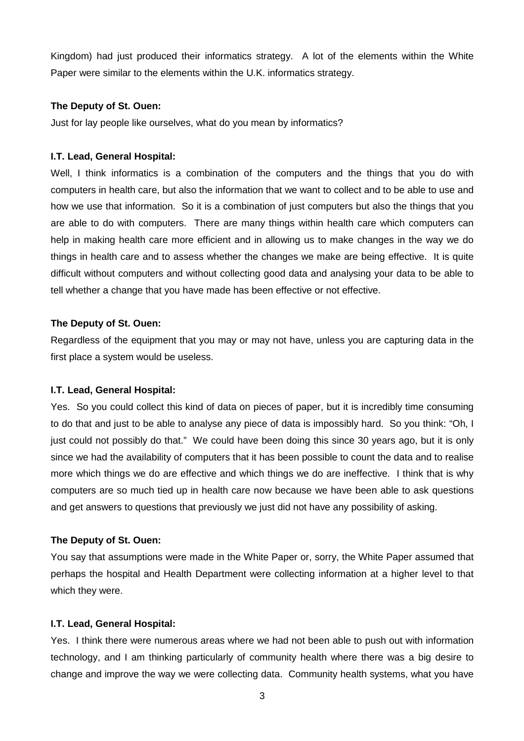Kingdom) had just produced their informatics strategy. A lot of the elements within the White Paper were similar to the elements within the U.K. informatics strategy.

#### **The Deputy of St. Ouen:**

Just for lay people like ourselves, what do you mean by informatics?

#### **I.T. Lead, General Hospital:**

Well, I think informatics is a combination of the computers and the things that you do with computers in health care, but also the information that we want to collect and to be able to use and how we use that information. So it is a combination of just computers but also the things that you are able to do with computers. There are many things within health care which computers can help in making health care more efficient and in allowing us to make changes in the way we do things in health care and to assess whether the changes we make are being effective. It is quite difficult without computers and without collecting good data and analysing your data to be able to tell whether a change that you have made has been effective or not effective.

#### **The Deputy of St. Ouen:**

Regardless of the equipment that you may or may not have, unless you are capturing data in the first place a system would be useless.

#### **I.T. Lead, General Hospital:**

Yes. So you could collect this kind of data on pieces of paper, but it is incredibly time consuming to do that and just to be able to analyse any piece of data is impossibly hard. So you think: "Oh, I just could not possibly do that." We could have been doing this since 30 years ago, but it is only since we had the availability of computers that it has been possible to count the data and to realise more which things we do are effective and which things we do are ineffective. I think that is why computers are so much tied up in health care now because we have been able to ask questions and get answers to questions that previously we just did not have any possibility of asking.

#### **The Deputy of St. Ouen:**

You say that assumptions were made in the White Paper or, sorry, the White Paper assumed that perhaps the hospital and Health Department were collecting information at a higher level to that which they were.

#### **I.T. Lead, General Hospital:**

Yes. I think there were numerous areas where we had not been able to push out with information technology, and I am thinking particularly of community health where there was a big desire to change and improve the way we were collecting data. Community health systems, what you have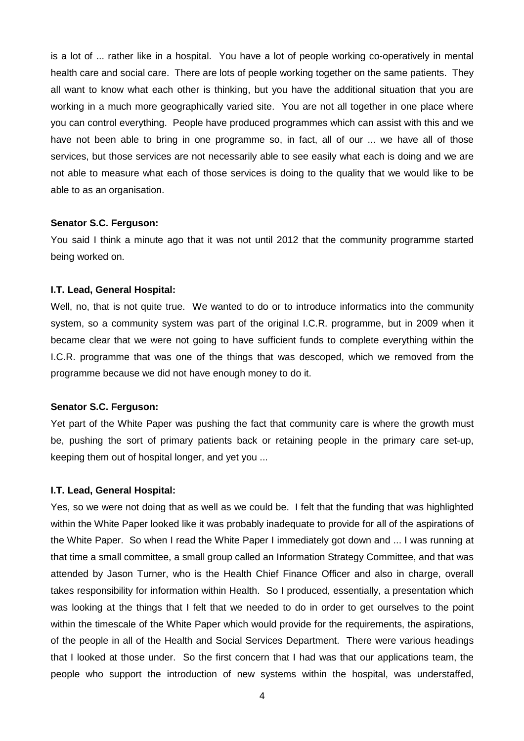is a lot of ... rather like in a hospital. You have a lot of people working co-operatively in mental health care and social care. There are lots of people working together on the same patients. They all want to know what each other is thinking, but you have the additional situation that you are working in a much more geographically varied site. You are not all together in one place where you can control everything. People have produced programmes which can assist with this and we have not been able to bring in one programme so, in fact, all of our ... we have all of those services, but those services are not necessarily able to see easily what each is doing and we are not able to measure what each of those services is doing to the quality that we would like to be able to as an organisation.

#### **Senator S.C. Ferguson:**

You said I think a minute ago that it was not until 2012 that the community programme started being worked on.

#### **I.T. Lead, General Hospital:**

Well, no, that is not quite true. We wanted to do or to introduce informatics into the community system, so a community system was part of the original I.C.R. programme, but in 2009 when it became clear that we were not going to have sufficient funds to complete everything within the I.C.R. programme that was one of the things that was descoped, which we removed from the programme because we did not have enough money to do it.

#### **Senator S.C. Ferguson:**

Yet part of the White Paper was pushing the fact that community care is where the growth must be, pushing the sort of primary patients back or retaining people in the primary care set-up, keeping them out of hospital longer, and yet you ...

#### **I.T. Lead, General Hospital:**

Yes, so we were not doing that as well as we could be. I felt that the funding that was highlighted within the White Paper looked like it was probably inadequate to provide for all of the aspirations of the White Paper. So when I read the White Paper I immediately got down and ... I was running at that time a small committee, a small group called an Information Strategy Committee, and that was attended by Jason Turner, who is the Health Chief Finance Officer and also in charge, overall takes responsibility for information within Health. So I produced, essentially, a presentation which was looking at the things that I felt that we needed to do in order to get ourselves to the point within the timescale of the White Paper which would provide for the requirements, the aspirations, of the people in all of the Health and Social Services Department. There were various headings that I looked at those under. So the first concern that I had was that our applications team, the people who support the introduction of new systems within the hospital, was understaffed,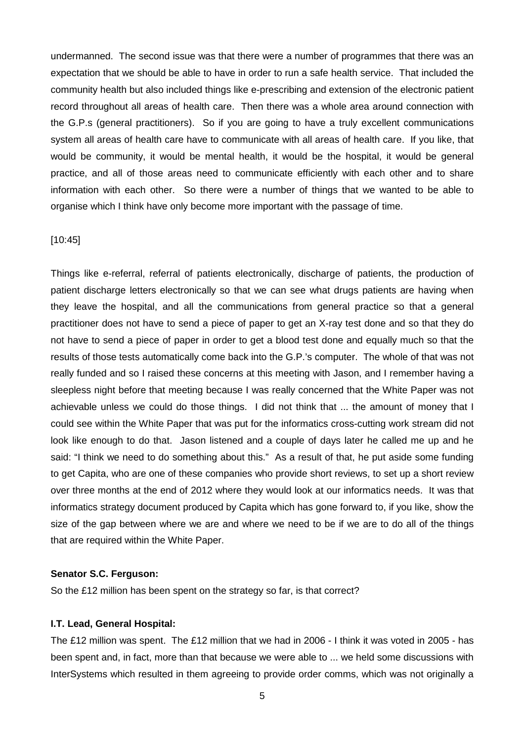undermanned. The second issue was that there were a number of programmes that there was an expectation that we should be able to have in order to run a safe health service. That included the community health but also included things like e-prescribing and extension of the electronic patient record throughout all areas of health care. Then there was a whole area around connection with the G.P.s (general practitioners). So if you are going to have a truly excellent communications system all areas of health care have to communicate with all areas of health care. If you like, that would be community, it would be mental health, it would be the hospital, it would be general practice, and all of those areas need to communicate efficiently with each other and to share information with each other. So there were a number of things that we wanted to be able to organise which I think have only become more important with the passage of time.

#### [10:45]

Things like e-referral, referral of patients electronically, discharge of patients, the production of patient discharge letters electronically so that we can see what drugs patients are having when they leave the hospital, and all the communications from general practice so that a general practitioner does not have to send a piece of paper to get an X-ray test done and so that they do not have to send a piece of paper in order to get a blood test done and equally much so that the results of those tests automatically come back into the G.P.'s computer. The whole of that was not really funded and so I raised these concerns at this meeting with Jason, and I remember having a sleepless night before that meeting because I was really concerned that the White Paper was not achievable unless we could do those things. I did not think that ... the amount of money that I could see within the White Paper that was put for the informatics cross-cutting work stream did not look like enough to do that. Jason listened and a couple of days later he called me up and he said: "I think we need to do something about this." As a result of that, he put aside some funding to get Capita, who are one of these companies who provide short reviews, to set up a short review over three months at the end of 2012 where they would look at our informatics needs. It was that informatics strategy document produced by Capita which has gone forward to, if you like, show the size of the gap between where we are and where we need to be if we are to do all of the things that are required within the White Paper.

#### **Senator S.C. Ferguson:**

So the £12 million has been spent on the strategy so far, is that correct?

#### **I.T. Lead, General Hospital:**

The £12 million was spent. The £12 million that we had in 2006 - I think it was voted in 2005 - has been spent and, in fact, more than that because we were able to ... we held some discussions with InterSystems which resulted in them agreeing to provide order comms, which was not originally a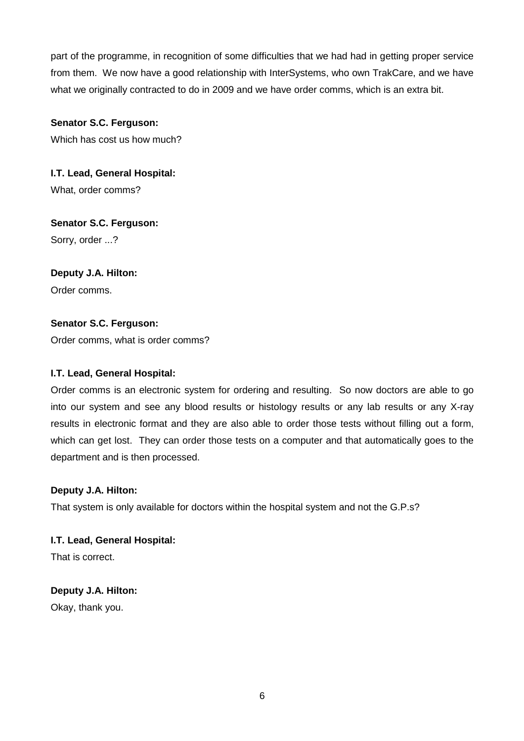part of the programme, in recognition of some difficulties that we had had in getting proper service from them. We now have a good relationship with InterSystems, who own TrakCare, and we have what we originally contracted to do in 2009 and we have order comms, which is an extra bit.

# **Senator S.C. Ferguson:**

Which has cost us how much?

**I.T. Lead, General Hospital:** What, order comms?

# **Senator S.C. Ferguson:**

Sorry, order ...?

# **Deputy J.A. Hilton:**

Order comms.

# **Senator S.C. Ferguson:**

Order comms, what is order comms?

# **I.T. Lead, General Hospital:**

Order comms is an electronic system for ordering and resulting. So now doctors are able to go into our system and see any blood results or histology results or any lab results or any X-ray results in electronic format and they are also able to order those tests without filling out a form, which can get lost. They can order those tests on a computer and that automatically goes to the department and is then processed.

# **Deputy J.A. Hilton:**

That system is only available for doctors within the hospital system and not the G.P.s?

**I.T. Lead, General Hospital:**

That is correct.

# **Deputy J.A. Hilton:**

Okay, thank you.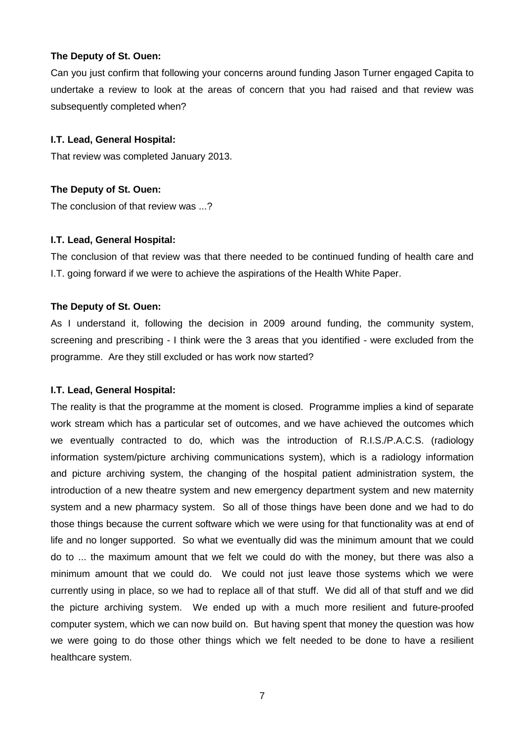#### **The Deputy of St. Ouen:**

Can you just confirm that following your concerns around funding Jason Turner engaged Capita to undertake a review to look at the areas of concern that you had raised and that review was subsequently completed when?

#### **I.T. Lead, General Hospital:**

That review was completed January 2013.

#### **The Deputy of St. Ouen:**

The conclusion of that review was ...?

#### **I.T. Lead, General Hospital:**

The conclusion of that review was that there needed to be continued funding of health care and I.T. going forward if we were to achieve the aspirations of the Health White Paper.

#### **The Deputy of St. Ouen:**

As I understand it, following the decision in 2009 around funding, the community system, screening and prescribing - I think were the 3 areas that you identified - were excluded from the programme. Are they still excluded or has work now started?

#### **I.T. Lead, General Hospital:**

The reality is that the programme at the moment is closed. Programme implies a kind of separate work stream which has a particular set of outcomes, and we have achieved the outcomes which we eventually contracted to do, which was the introduction of R.I.S./P.A.C.S. (radiology information system/picture archiving communications system), which is a radiology information and picture archiving system, the changing of the hospital patient administration system, the introduction of a new theatre system and new emergency department system and new maternity system and a new pharmacy system. So all of those things have been done and we had to do those things because the current software which we were using for that functionality was at end of life and no longer supported. So what we eventually did was the minimum amount that we could do to ... the maximum amount that we felt we could do with the money, but there was also a minimum amount that we could do. We could not just leave those systems which we were currently using in place, so we had to replace all of that stuff. We did all of that stuff and we did the picture archiving system. We ended up with a much more resilient and future-proofed computer system, which we can now build on. But having spent that money the question was how we were going to do those other things which we felt needed to be done to have a resilient healthcare system.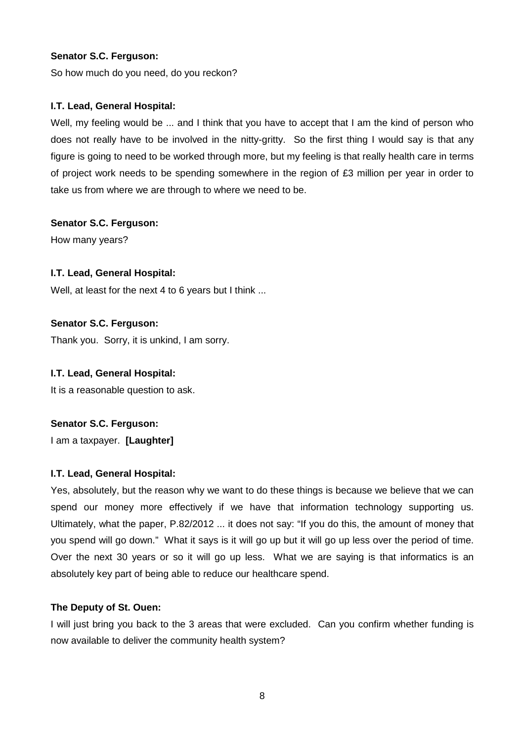So how much do you need, do you reckon?

# **I.T. Lead, General Hospital:**

Well, my feeling would be ... and I think that you have to accept that I am the kind of person who does not really have to be involved in the nitty-gritty. So the first thing I would say is that any figure is going to need to be worked through more, but my feeling is that really health care in terms of project work needs to be spending somewhere in the region of  $E3$  million per year in order to take us from where we are through to where we need to be.

# **Senator S.C. Ferguson:**

How many years?

# **I.T. Lead, General Hospital:**

Well, at least for the next 4 to 6 years but I think ...

# **Senator S.C. Ferguson:**

Thank you. Sorry, it is unkind, I am sorry.

#### **I.T. Lead, General Hospital:**

It is a reasonable question to ask.

# **Senator S.C. Ferguson:**

I am a taxpayer. **[Laughter]** 

#### **I.T. Lead, General Hospital:**

Yes, absolutely, but the reason why we want to do these things is because we believe that we can spend our money more effectively if we have that information technology supporting us. Ultimately, what the paper, P.82/2012 ... it does not say: "If you do this, the amount of money that you spend will go down." What it says is it will go up but it will go up less over the period of time. Over the next 30 years or so it will go up less. What we are saying is that informatics is an absolutely key part of being able to reduce our healthcare spend.

#### **The Deputy of St. Ouen:**

I will just bring you back to the 3 areas that were excluded. Can you confirm whether funding is now available to deliver the community health system?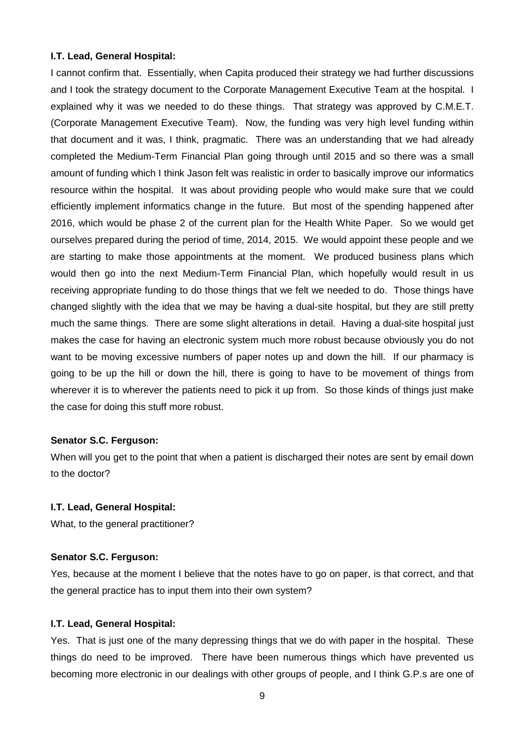#### **I.T. Lead, General Hospital:**

I cannot confirm that. Essentially, when Capita produced their strategy we had further discussions and I took the strategy document to the Corporate Management Executive Team at the hospital. I explained why it was we needed to do these things. That strategy was approved by C.M.E.T. (Corporate Management Executive Team). Now, the funding was very high level funding within that document and it was, I think, pragmatic. There was an understanding that we had already completed the Medium-Term Financial Plan going through until 2015 and so there was a small amount of funding which I think Jason felt was realistic in order to basically improve our informatics resource within the hospital. It was about providing people who would make sure that we could efficiently implement informatics change in the future. But most of the spending happened after 2016, which would be phase 2 of the current plan for the Health White Paper. So we would get ourselves prepared during the period of time, 2014, 2015. We would appoint these people and we are starting to make those appointments at the moment. We produced business plans which would then go into the next Medium-Term Financial Plan, which hopefully would result in us receiving appropriate funding to do those things that we felt we needed to do. Those things have changed slightly with the idea that we may be having a dual-site hospital, but they are still pretty much the same things. There are some slight alterations in detail. Having a dual-site hospital just makes the case for having an electronic system much more robust because obviously you do not want to be moving excessive numbers of paper notes up and down the hill. If our pharmacy is going to be up the hill or down the hill, there is going to have to be movement of things from wherever it is to wherever the patients need to pick it up from. So those kinds of things just make the case for doing this stuff more robust.

#### **Senator S.C. Ferguson:**

When will you get to the point that when a patient is discharged their notes are sent by email down to the doctor?

#### **I.T. Lead, General Hospital:**

What, to the general practitioner?

#### **Senator S.C. Ferguson:**

Yes, because at the moment I believe that the notes have to go on paper, is that correct, and that the general practice has to input them into their own system?

#### **I.T. Lead, General Hospital:**

Yes. That is just one of the many depressing things that we do with paper in the hospital. These things do need to be improved. There have been numerous things which have prevented us becoming more electronic in our dealings with other groups of people, and I think G.P.s are one of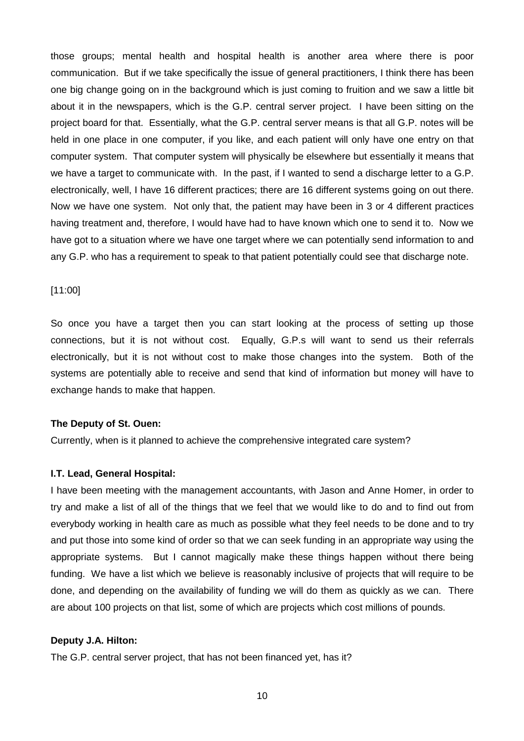those groups; mental health and hospital health is another area where there is poor communication. But if we take specifically the issue of general practitioners, I think there has been one big change going on in the background which is just coming to fruition and we saw a little bit about it in the newspapers, which is the G.P. central server project. I have been sitting on the project board for that. Essentially, what the G.P. central server means is that all G.P. notes will be held in one place in one computer, if you like, and each patient will only have one entry on that computer system. That computer system will physically be elsewhere but essentially it means that we have a target to communicate with. In the past, if I wanted to send a discharge letter to a G.P. electronically, well, I have 16 different practices; there are 16 different systems going on out there. Now we have one system. Not only that, the patient may have been in 3 or 4 different practices having treatment and, therefore, I would have had to have known which one to send it to. Now we have got to a situation where we have one target where we can potentially send information to and any G.P. who has a requirement to speak to that patient potentially could see that discharge note.

#### [11:00]

So once you have a target then you can start looking at the process of setting up those connections, but it is not without cost. Equally, G.P.s will want to send us their referrals electronically, but it is not without cost to make those changes into the system. Both of the systems are potentially able to receive and send that kind of information but money will have to exchange hands to make that happen.

#### **The Deputy of St. Ouen:**

Currently, when is it planned to achieve the comprehensive integrated care system?

#### **I.T. Lead, General Hospital:**

I have been meeting with the management accountants, with Jason and Anne Homer, in order to try and make a list of all of the things that we feel that we would like to do and to find out from everybody working in health care as much as possible what they feel needs to be done and to try and put those into some kind of order so that we can seek funding in an appropriate way using the appropriate systems. But I cannot magically make these things happen without there being funding. We have a list which we believe is reasonably inclusive of projects that will require to be done, and depending on the availability of funding we will do them as quickly as we can. There are about 100 projects on that list, some of which are projects which cost millions of pounds.

#### **Deputy J.A. Hilton:**

The G.P. central server project, that has not been financed yet, has it?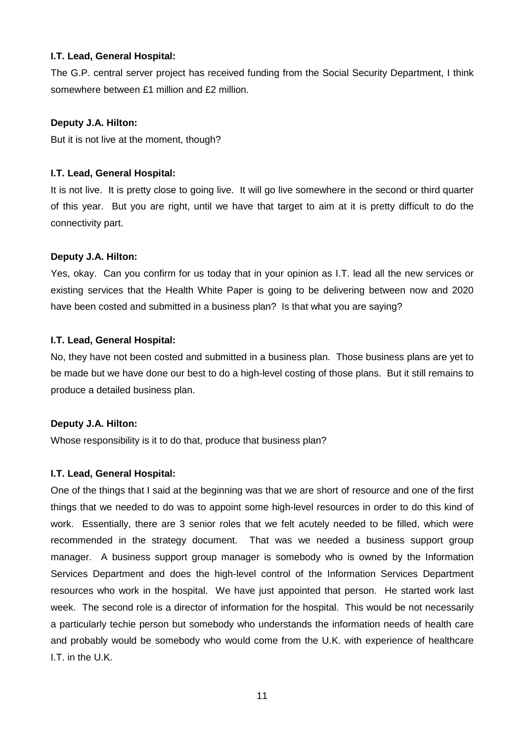#### **I.T. Lead, General Hospital:**

The G.P. central server project has received funding from the Social Security Department, I think somewhere between £1 million and £2 million.

#### **Deputy J.A. Hilton:**

But it is not live at the moment, though?

#### **I.T. Lead, General Hospital:**

It is not live. It is pretty close to going live. It will go live somewhere in the second or third quarter of this year. But you are right, until we have that target to aim at it is pretty difficult to do the connectivity part.

#### **Deputy J.A. Hilton:**

Yes, okay. Can you confirm for us today that in your opinion as I.T. lead all the new services or existing services that the Health White Paper is going to be delivering between now and 2020 have been costed and submitted in a business plan? Is that what you are saying?

#### **I.T. Lead, General Hospital:**

No, they have not been costed and submitted in a business plan. Those business plans are yet to be made but we have done our best to do a high-level costing of those plans. But it still remains to produce a detailed business plan.

#### **Deputy J.A. Hilton:**

Whose responsibility is it to do that, produce that business plan?

#### **I.T. Lead, General Hospital:**

One of the things that I said at the beginning was that we are short of resource and one of the first things that we needed to do was to appoint some high-level resources in order to do this kind of work. Essentially, there are 3 senior roles that we felt acutely needed to be filled, which were recommended in the strategy document. That was we needed a business support group manager. A business support group manager is somebody who is owned by the Information Services Department and does the high-level control of the Information Services Department resources who work in the hospital. We have just appointed that person. He started work last week. The second role is a director of information for the hospital. This would be not necessarily a particularly techie person but somebody who understands the information needs of health care and probably would be somebody who would come from the U.K. with experience of healthcare I.T. in the U.K.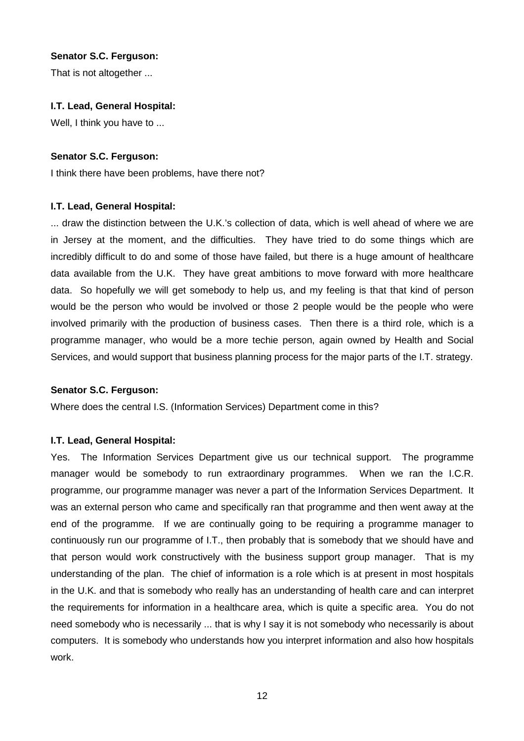That is not altogether ...

# **I.T. Lead, General Hospital:**

Well, I think you have to ...

# **Senator S.C. Ferguson:**

I think there have been problems, have there not?

# **I.T. Lead, General Hospital:**

... draw the distinction between the U.K.'s collection of data, which is well ahead of where we are in Jersey at the moment, and the difficulties. They have tried to do some things which are incredibly difficult to do and some of those have failed, but there is a huge amount of healthcare data available from the U.K. They have great ambitions to move forward with more healthcare data. So hopefully we will get somebody to help us, and my feeling is that that kind of person would be the person who would be involved or those 2 people would be the people who were involved primarily with the production of business cases. Then there is a third role, which is a programme manager, who would be a more techie person, again owned by Health and Social Services, and would support that business planning process for the major parts of the I.T. strategy.

#### **Senator S.C. Ferguson:**

Where does the central I.S. (Information Services) Department come in this?

#### **I.T. Lead, General Hospital:**

Yes. The Information Services Department give us our technical support. The programme manager would be somebody to run extraordinary programmes. When we ran the I.C.R. programme, our programme manager was never a part of the Information Services Department. It was an external person who came and specifically ran that programme and then went away at the end of the programme. If we are continually going to be requiring a programme manager to continuously run our programme of I.T., then probably that is somebody that we should have and that person would work constructively with the business support group manager. That is my understanding of the plan. The chief of information is a role which is at present in most hospitals in the U.K. and that is somebody who really has an understanding of health care and can interpret the requirements for information in a healthcare area, which is quite a specific area. You do not need somebody who is necessarily ... that is why I say it is not somebody who necessarily is about computers. It is somebody who understands how you interpret information and also how hospitals work.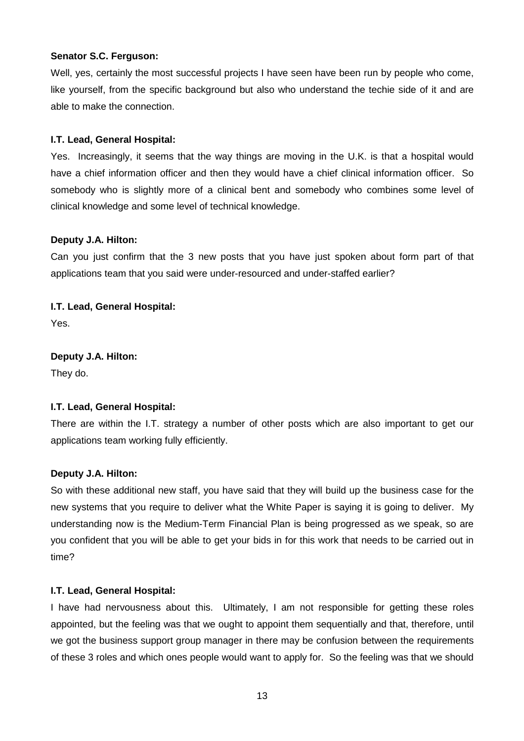Well, yes, certainly the most successful projects I have seen have been run by people who come, like yourself, from the specific background but also who understand the techie side of it and are able to make the connection.

# **I.T. Lead, General Hospital:**

Yes. Increasingly, it seems that the way things are moving in the U.K. is that a hospital would have a chief information officer and then they would have a chief clinical information officer. So somebody who is slightly more of a clinical bent and somebody who combines some level of clinical knowledge and some level of technical knowledge.

# **Deputy J.A. Hilton:**

Can you just confirm that the 3 new posts that you have just spoken about form part of that applications team that you said were under-resourced and under-staffed earlier?

**I.T. Lead, General Hospital:** Yes.

**Deputy J.A. Hilton:** They do.

#### **I.T. Lead, General Hospital:**

There are within the I.T. strategy a number of other posts which are also important to get our applications team working fully efficiently.

#### **Deputy J.A. Hilton:**

So with these additional new staff, you have said that they will build up the business case for the new systems that you require to deliver what the White Paper is saying it is going to deliver. My understanding now is the Medium-Term Financial Plan is being progressed as we speak, so are you confident that you will be able to get your bids in for this work that needs to be carried out in time?

#### **I.T. Lead, General Hospital:**

I have had nervousness about this. Ultimately, I am not responsible for getting these roles appointed, but the feeling was that we ought to appoint them sequentially and that, therefore, until we got the business support group manager in there may be confusion between the requirements of these 3 roles and which ones people would want to apply for. So the feeling was that we should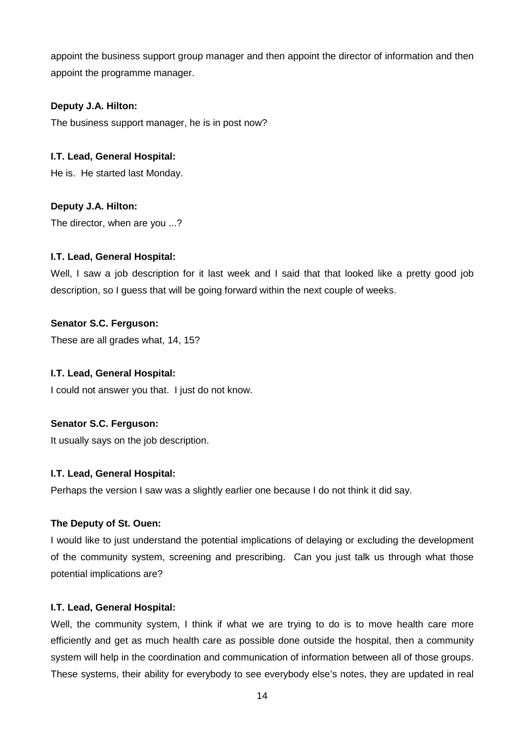appoint the business support group manager and then appoint the director of information and then appoint the programme manager.

# **Deputy J.A. Hilton:**

The business support manager, he is in post now?

# **I.T. Lead, General Hospital:**

He is. He started last Monday.

# **Deputy J.A. Hilton:**

The director, when are you ...?

#### **I.T. Lead, General Hospital:**

Well, I saw a job description for it last week and I said that that looked like a pretty good job description, so I guess that will be going forward within the next couple of weeks.

#### **Senator S.C. Ferguson:**

These are all grades what, 14, 15?

#### **I.T. Lead, General Hospital:**

I could not answer you that. I just do not know.

#### **Senator S.C. Ferguson:**

It usually says on the job description.

#### **I.T. Lead, General Hospital:**

Perhaps the version I saw was a slightly earlier one because I do not think it did say.

#### **The Deputy of St. Ouen:**

I would like to just understand the potential implications of delaying or excluding the development of the community system, screening and prescribing. Can you just talk us through what those potential implications are?

#### **I.T. Lead, General Hospital:**

Well, the community system, I think if what we are trying to do is to move health care more efficiently and get as much health care as possible done outside the hospital, then a community system will help in the coordination and communication of information between all of those groups. These systems, their ability for everybody to see everybody else's notes, they are updated in real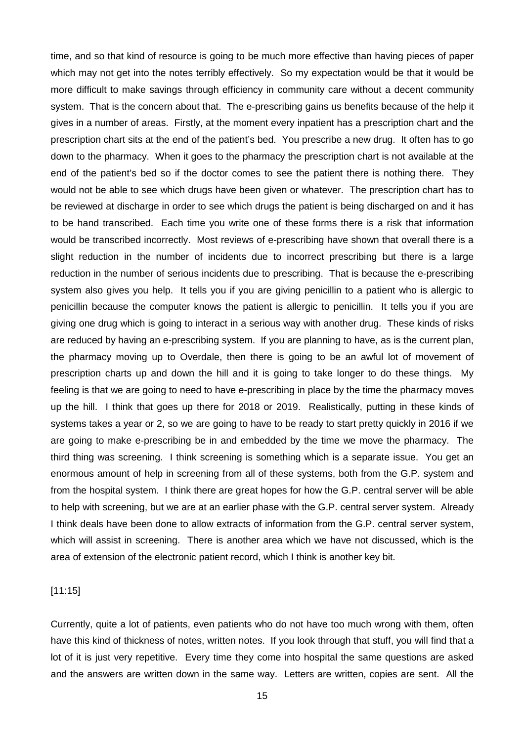time, and so that kind of resource is going to be much more effective than having pieces of paper which may not get into the notes terribly effectively. So my expectation would be that it would be more difficult to make savings through efficiency in community care without a decent community system. That is the concern about that. The e-prescribing gains us benefits because of the help it gives in a number of areas. Firstly, at the moment every inpatient has a prescription chart and the prescription chart sits at the end of the patient's bed. You prescribe a new drug. It often has to go down to the pharmacy. When it goes to the pharmacy the prescription chart is not available at the end of the patient's bed so if the doctor comes to see the patient there is nothing there. They would not be able to see which drugs have been given or whatever. The prescription chart has to be reviewed at discharge in order to see which drugs the patient is being discharged on and it has to be hand transcribed. Each time you write one of these forms there is a risk that information would be transcribed incorrectly. Most reviews of e-prescribing have shown that overall there is a slight reduction in the number of incidents due to incorrect prescribing but there is a large reduction in the number of serious incidents due to prescribing. That is because the e-prescribing system also gives you help. It tells you if you are giving penicillin to a patient who is allergic to penicillin because the computer knows the patient is allergic to penicillin. It tells you if you are giving one drug which is going to interact in a serious way with another drug. These kinds of risks are reduced by having an e-prescribing system. If you are planning to have, as is the current plan, the pharmacy moving up to Overdale, then there is going to be an awful lot of movement of prescription charts up and down the hill and it is going to take longer to do these things. My feeling is that we are going to need to have e-prescribing in place by the time the pharmacy moves up the hill. I think that goes up there for 2018 or 2019. Realistically, putting in these kinds of systems takes a year or 2, so we are going to have to be ready to start pretty quickly in 2016 if we are going to make e-prescribing be in and embedded by the time we move the pharmacy. The third thing was screening. I think screening is something which is a separate issue. You get an enormous amount of help in screening from all of these systems, both from the G.P. system and from the hospital system. I think there are great hopes for how the G.P. central server will be able to help with screening, but we are at an earlier phase with the G.P. central server system. Already I think deals have been done to allow extracts of information from the G.P. central server system, which will assist in screening. There is another area which we have not discussed, which is the area of extension of the electronic patient record, which I think is another key bit.

#### [11:15]

Currently, quite a lot of patients, even patients who do not have too much wrong with them, often have this kind of thickness of notes, written notes. If you look through that stuff, you will find that a lot of it is just very repetitive. Every time they come into hospital the same questions are asked and the answers are written down in the same way. Letters are written, copies are sent. All the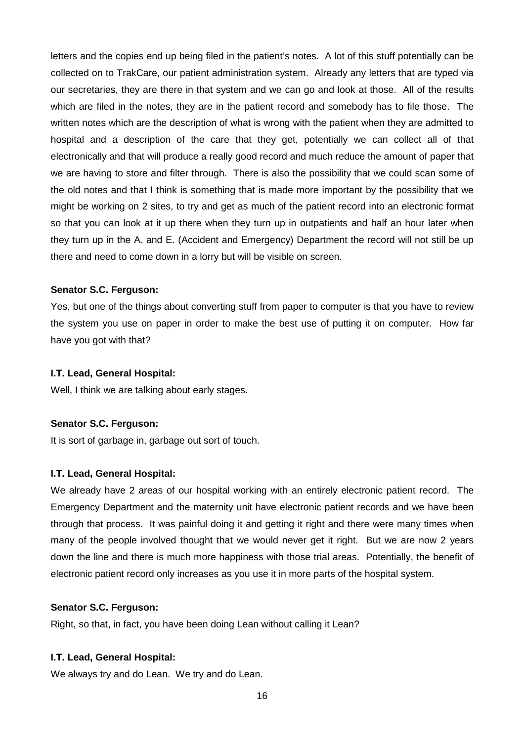letters and the copies end up being filed in the patient's notes. A lot of this stuff potentially can be collected on to TrakCare, our patient administration system. Already any letters that are typed via our secretaries, they are there in that system and we can go and look at those. All of the results which are filed in the notes, they are in the patient record and somebody has to file those. The written notes which are the description of what is wrong with the patient when they are admitted to hospital and a description of the care that they get, potentially we can collect all of that electronically and that will produce a really good record and much reduce the amount of paper that we are having to store and filter through. There is also the possibility that we could scan some of the old notes and that I think is something that is made more important by the possibility that we might be working on 2 sites, to try and get as much of the patient record into an electronic format so that you can look at it up there when they turn up in outpatients and half an hour later when they turn up in the A. and E. (Accident and Emergency) Department the record will not still be up there and need to come down in a lorry but will be visible on screen.

#### **Senator S.C. Ferguson:**

Yes, but one of the things about converting stuff from paper to computer is that you have to review the system you use on paper in order to make the best use of putting it on computer. How far have you got with that?

#### **I.T. Lead, General Hospital:**

Well, I think we are talking about early stages.

#### **Senator S.C. Ferguson:**

It is sort of garbage in, garbage out sort of touch.

#### **I.T. Lead, General Hospital:**

We already have 2 areas of our hospital working with an entirely electronic patient record. The Emergency Department and the maternity unit have electronic patient records and we have been through that process. It was painful doing it and getting it right and there were many times when many of the people involved thought that we would never get it right. But we are now 2 years down the line and there is much more happiness with those trial areas. Potentially, the benefit of electronic patient record only increases as you use it in more parts of the hospital system.

#### **Senator S.C. Ferguson:**

Right, so that, in fact, you have been doing Lean without calling it Lean?

#### **I.T. Lead, General Hospital:**

We always try and do Lean. We try and do Lean.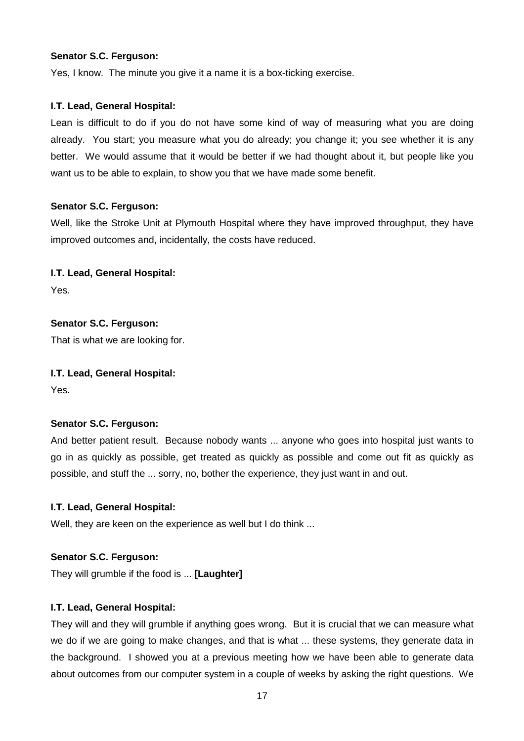Yes, I know. The minute you give it a name it is a box-ticking exercise.

# **I.T. Lead, General Hospital:**

Lean is difficult to do if you do not have some kind of way of measuring what you are doing already. You start; you measure what you do already; you change it; you see whether it is any better. We would assume that it would be better if we had thought about it, but people like you want us to be able to explain, to show you that we have made some benefit.

# **Senator S.C. Ferguson:**

Well, like the Stroke Unit at Plymouth Hospital where they have improved throughput, they have improved outcomes and, incidentally, the costs have reduced.

# **I.T. Lead, General Hospital:**

Yes.

# **Senator S.C. Ferguson:**

That is what we are looking for.

#### **I.T. Lead, General Hospital:**

Yes.

# **Senator S.C. Ferguson:**

And better patient result. Because nobody wants ... anyone who goes into hospital just wants to go in as quickly as possible, get treated as quickly as possible and come out fit as quickly as possible, and stuff the ... sorry, no, bother the experience, they just want in and out.

# **I.T. Lead, General Hospital:**

Well, they are keen on the experience as well but I do think ...

# **Senator S.C. Ferguson:**

They will grumble if the food is ... **[Laughter]**

# **I.T. Lead, General Hospital:**

They will and they will grumble if anything goes wrong. But it is crucial that we can measure what we do if we are going to make changes, and that is what ... these systems, they generate data in the background. I showed you at a previous meeting how we have been able to generate data about outcomes from our computer system in a couple of weeks by asking the right questions. We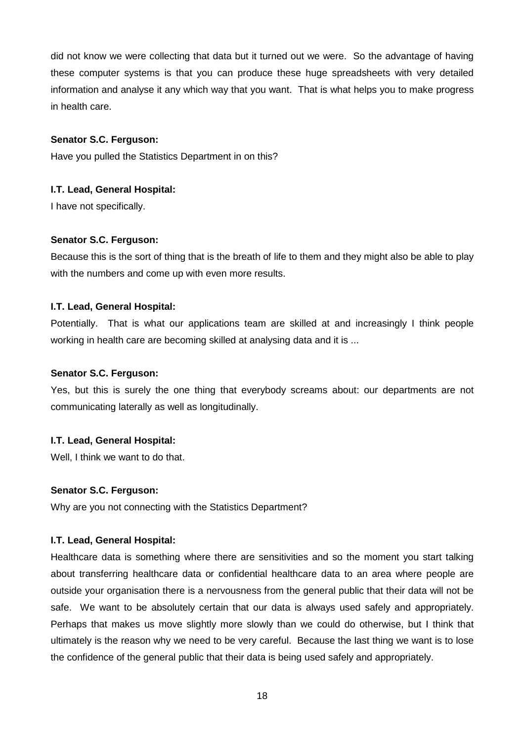did not know we were collecting that data but it turned out we were. So the advantage of having these computer systems is that you can produce these huge spreadsheets with very detailed information and analyse it any which way that you want. That is what helps you to make progress in health care.

#### **Senator S.C. Ferguson:**

Have you pulled the Statistics Department in on this?

# **I.T. Lead, General Hospital:**

I have not specifically.

# **Senator S.C. Ferguson:**

Because this is the sort of thing that is the breath of life to them and they might also be able to play with the numbers and come up with even more results.

# **I.T. Lead, General Hospital:**

Potentially. That is what our applications team are skilled at and increasingly I think people working in health care are becoming skilled at analysing data and it is ...

#### **Senator S.C. Ferguson:**

Yes, but this is surely the one thing that everybody screams about: our departments are not communicating laterally as well as longitudinally.

# **I.T. Lead, General Hospital:**

Well, I think we want to do that.

#### **Senator S.C. Ferguson:**

Why are you not connecting with the Statistics Department?

# **I.T. Lead, General Hospital:**

Healthcare data is something where there are sensitivities and so the moment you start talking about transferring healthcare data or confidential healthcare data to an area where people are outside your organisation there is a nervousness from the general public that their data will not be safe. We want to be absolutely certain that our data is always used safely and appropriately. Perhaps that makes us move slightly more slowly than we could do otherwise, but I think that ultimately is the reason why we need to be very careful. Because the last thing we want is to lose the confidence of the general public that their data is being used safely and appropriately.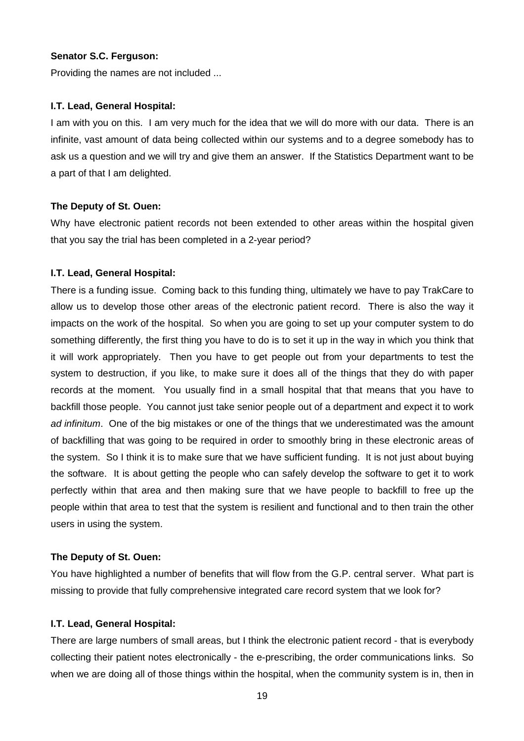Providing the names are not included ...

#### **I.T. Lead, General Hospital:**

I am with you on this. I am very much for the idea that we will do more with our data. There is an infinite, vast amount of data being collected within our systems and to a degree somebody has to ask us a question and we will try and give them an answer. If the Statistics Department want to be a part of that I am delighted.

#### **The Deputy of St. Ouen:**

Why have electronic patient records not been extended to other areas within the hospital given that you say the trial has been completed in a 2-year period?

#### **I.T. Lead, General Hospital:**

There is a funding issue. Coming back to this funding thing, ultimately we have to pay TrakCare to allow us to develop those other areas of the electronic patient record. There is also the way it impacts on the work of the hospital. So when you are going to set up your computer system to do something differently, the first thing you have to do is to set it up in the way in which you think that it will work appropriately. Then you have to get people out from your departments to test the system to destruction, if you like, to make sure it does all of the things that they do with paper records at the moment. You usually find in a small hospital that that means that you have to backfill those people. You cannot just take senior people out of a department and expect it to work ad infinitum. One of the big mistakes or one of the things that we underestimated was the amount of backfilling that was going to be required in order to smoothly bring in these electronic areas of the system. So I think it is to make sure that we have sufficient funding. It is not just about buying the software. It is about getting the people who can safely develop the software to get it to work perfectly within that area and then making sure that we have people to backfill to free up the people within that area to test that the system is resilient and functional and to then train the other users in using the system.

#### **The Deputy of St. Ouen:**

You have highlighted a number of benefits that will flow from the G.P. central server. What part is missing to provide that fully comprehensive integrated care record system that we look for?

#### **I.T. Lead, General Hospital:**

There are large numbers of small areas, but I think the electronic patient record - that is everybody collecting their patient notes electronically - the e-prescribing, the order communications links. So when we are doing all of those things within the hospital, when the community system is in, then in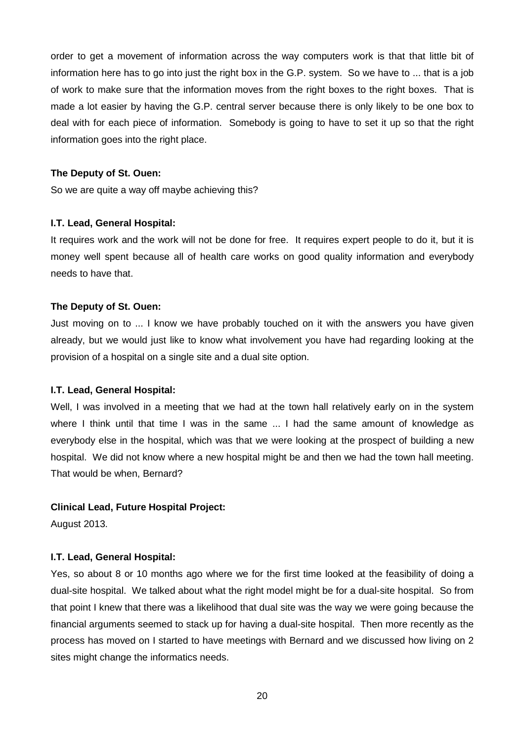order to get a movement of information across the way computers work is that that little bit of information here has to go into just the right box in the G.P. system. So we have to ... that is a job of work to make sure that the information moves from the right boxes to the right boxes. That is made a lot easier by having the G.P. central server because there is only likely to be one box to deal with for each piece of information. Somebody is going to have to set it up so that the right information goes into the right place.

#### **The Deputy of St. Ouen:**

So we are quite a way off maybe achieving this?

#### **I.T. Lead, General Hospital:**

It requires work and the work will not be done for free. It requires expert people to do it, but it is money well spent because all of health care works on good quality information and everybody needs to have that.

#### **The Deputy of St. Ouen:**

Just moving on to ... I know we have probably touched on it with the answers you have given already, but we would just like to know what involvement you have had regarding looking at the provision of a hospital on a single site and a dual site option.

#### **I.T. Lead, General Hospital:**

Well, I was involved in a meeting that we had at the town hall relatively early on in the system where I think until that time I was in the same ... I had the same amount of knowledge as everybody else in the hospital, which was that we were looking at the prospect of building a new hospital. We did not know where a new hospital might be and then we had the town hall meeting. That would be when, Bernard?

#### **Clinical Lead, Future Hospital Project:**

August 2013.

#### **I.T. Lead, General Hospital:**

Yes, so about 8 or 10 months ago where we for the first time looked at the feasibility of doing a dual-site hospital. We talked about what the right model might be for a dual-site hospital. So from that point I knew that there was a likelihood that dual site was the way we were going because the financial arguments seemed to stack up for having a dual-site hospital. Then more recently as the process has moved on I started to have meetings with Bernard and we discussed how living on 2 sites might change the informatics needs.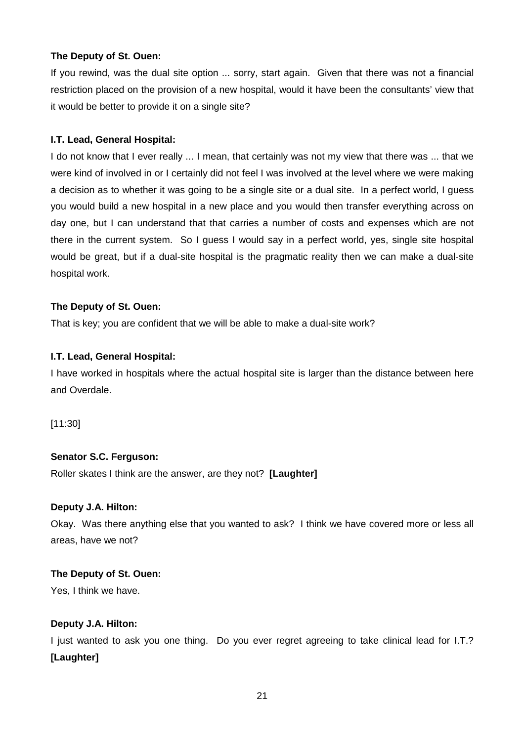# **The Deputy of St. Ouen:**

If you rewind, was the dual site option ... sorry, start again. Given that there was not a financial restriction placed on the provision of a new hospital, would it have been the consultants' view that it would be better to provide it on a single site?

#### **I.T. Lead, General Hospital:**

I do not know that I ever really ... I mean, that certainly was not my view that there was ... that we were kind of involved in or I certainly did not feel I was involved at the level where we were making a decision as to whether it was going to be a single site or a dual site. In a perfect world, I guess you would build a new hospital in a new place and you would then transfer everything across on day one, but I can understand that that carries a number of costs and expenses which are not there in the current system. So I guess I would say in a perfect world, yes, single site hospital would be great, but if a dual-site hospital is the pragmatic reality then we can make a dual-site hospital work.

# **The Deputy of St. Ouen:**

That is key; you are confident that we will be able to make a dual-site work?

# **I.T. Lead, General Hospital:**

I have worked in hospitals where the actual hospital site is larger than the distance between here and Overdale.

[11:30]

# **Senator S.C. Ferguson:**

Roller skates I think are the answer, are they not? **[Laughter]**

#### **Deputy J.A. Hilton:**

Okay. Was there anything else that you wanted to ask? I think we have covered more or less all areas, have we not?

#### **The Deputy of St. Ouen:**

Yes, I think we have.

#### **Deputy J.A. Hilton:**

I just wanted to ask you one thing. Do you ever regret agreeing to take clinical lead for I.T.? **[Laughter]**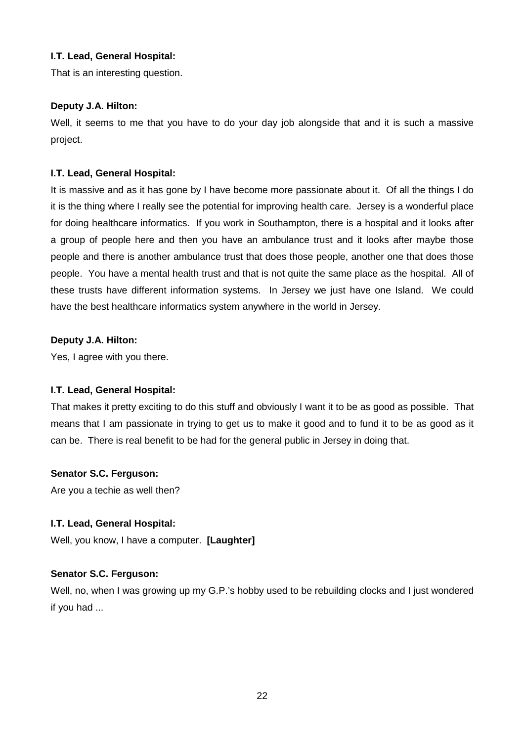# **I.T. Lead, General Hospital:**

That is an interesting question.

# **Deputy J.A. Hilton:**

Well, it seems to me that you have to do your day job alongside that and it is such a massive project.

# **I.T. Lead, General Hospital:**

It is massive and as it has gone by I have become more passionate about it. Of all the things I do it is the thing where I really see the potential for improving health care. Jersey is a wonderful place for doing healthcare informatics. If you work in Southampton, there is a hospital and it looks after a group of people here and then you have an ambulance trust and it looks after maybe those people and there is another ambulance trust that does those people, another one that does those people. You have a mental health trust and that is not quite the same place as the hospital. All of these trusts have different information systems. In Jersey we just have one Island. We could have the best healthcare informatics system anywhere in the world in Jersey.

# **Deputy J.A. Hilton:**

Yes, I agree with you there.

# **I.T. Lead, General Hospital:**

That makes it pretty exciting to do this stuff and obviously I want it to be as good as possible. That means that I am passionate in trying to get us to make it good and to fund it to be as good as it can be. There is real benefit to be had for the general public in Jersey in doing that.

# **Senator S.C. Ferguson:**

Are you a techie as well then?

#### **I.T. Lead, General Hospital:**

Well, you know, I have a computer. **[Laughter]**

# **Senator S.C. Ferguson:**

Well, no, when I was growing up my G.P.'s hobby used to be rebuilding clocks and I just wondered if you had ...